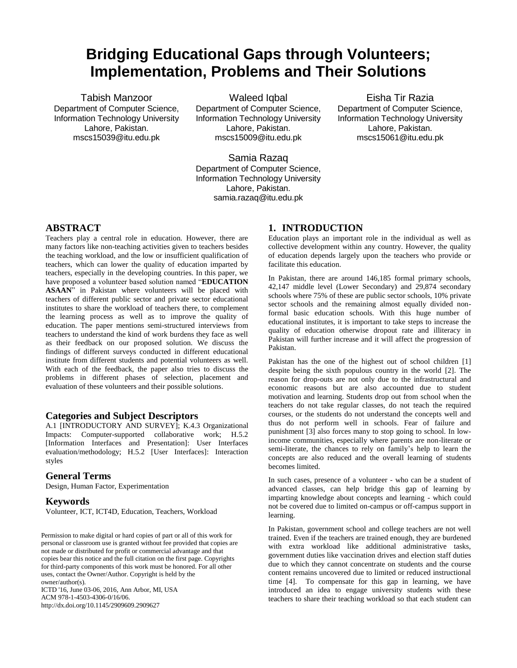# **Bridging Educational Gaps through Volunteers; Implementation, Problems and Their Solutions**

Tabish Manzoor Department of Computer Science, Information Technology University Lahore, Pakistan. mscs15039@itu.edu.pk

Waleed Igbal Department of Computer Science, Information Technology University Lahore, Pakistan. mscs15009@itu.edu.pk

Eisha Tir Razia Department of Computer Science, Information Technology University Lahore, Pakistan. mscs15061@itu.edu.pk

Samia Razaq Department of Computer Science, Information Technology University Lahore, Pakistan. samia.razaq@itu.edu.pk

## **ABSTRACT**

Teachers play a central role in education. However, there are many factors like non-teaching activities given to teachers besides the teaching workload, and the low or insufficient qualification of teachers, which can lower the quality of education imparted by teachers, especially in the developing countries. In this paper, we have proposed a volunteer based solution named "**EDUCATION ASAAN**" in Pakistan where volunteers will be placed with teachers of different public sector and private sector educational institutes to share the workload of teachers there, to complement the learning process as well as to improve the quality of education. The paper mentions semi-structured interviews from teachers to understand the kind of work burdens they face as well as their feedback on our proposed solution. We discuss the findings of different surveys conducted in different educational institute from different students and potential volunteers as well. With each of the feedback, the paper also tries to discuss the problems in different phases of selection, placement and evaluation of these volunteers and their possible solutions.

# **Categories and Subject Descriptors**

A.1 [INTRODUCTORY AND SURVEY]; K.4.3 Organizational Impacts: Computer-supported collaborative work; H.5.2 [Information Interfaces and Presentation]: User Interfaces evaluation/methodology; H.5.2 [User Interfaces]: Interaction styles

#### **General Terms**

Design, Human Factor, Experimentation

#### **Keywords**

Volunteer, ICT, ICT4D, Education, Teachers, Workload

Permission to make digital or hard copies of part or all of this work for personal or classroom use is granted without fee provided that copies are not made or distributed for profit or commercial advantage and that copies bear this notice and the full citation on the first page. Copyrights for third-party components of this work must be honored. For all other uses, contact the Owner/Author. Copyright is held by the owner/author(s).

ICTD '16, June 03-06, 2016, Ann Arbor, MI, USA ACM 978-1-4503-4306-0/16/06. http://dx.doi.org/10.1145/2909609.2909627

# **1. INTRODUCTION**

Education plays an important role in the individual as well as collective development within any country. However, the quality of education depends largely upon the teachers who provide or facilitate this education.

In Pakistan, there are around 146,185 formal primary schools, 42,147 middle level (Lower Secondary) and 29,874 secondary schools where 75% of these are public sector schools, 10% private sector schools and the remaining almost equally divided nonformal basic education schools. With this huge number of educational institutes, it is important to take steps to increase the quality of education otherwise dropout rate and illiteracy in Pakistan will further increase and it will affect the progression of Pakistan.

Pakistan has the one of the highest out of school children [1] despite being the sixth populous country in the world [2]. The reason for drop-outs are not only due to the infrastructural and economic reasons but are also accounted due to student motivation and learning. Students drop out from school when the teachers do not take regular classes, do not teach the required courses, or the students do not understand the concepts well and thus do not perform well in schools. Fear of failure and punishment [3] also forces many to stop going to school. In lowincome communities, especially where parents are non-literate or semi-literate, the chances to rely on family's help to learn the concepts are also reduced and the overall learning of students becomes limited.

In such cases, presence of a volunteer - who can be a student of advanced classes, can help bridge this gap of learning by imparting knowledge about concepts and learning - which could not be covered due to limited on-campus or off-campus support in learning.

In Pakistan, government school and college teachers are not well trained. Even if the teachers are trained enough, they are burdened with extra workload like additional administrative tasks, government duties like vaccination drives and election staff duties due to which they cannot concentrate on students and the course content remains uncovered due to limited or reduced instructional time [4]. To compensate for this gap in learning, we have introduced an idea to engage university students with these teachers to share their teaching workload so that each student can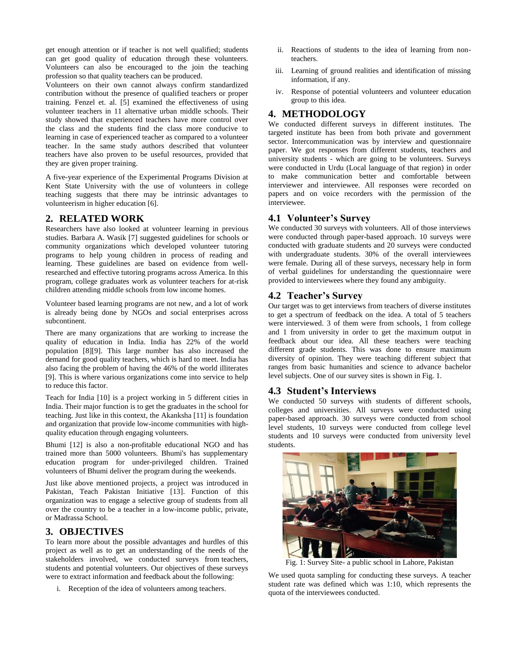get enough attention or if teacher is not well qualified; students can get good quality of education through these volunteers. Volunteers can also be encouraged to the join the teaching profession so that quality teachers can be produced.

Volunteers on their own cannot always confirm standardized contribution without the presence of qualified teachers or proper training. Fenzel et. al. [5] examined the effectiveness of using volunteer teachers in 11 alternative urban middle schools. Their study showed that experienced teachers have more control over the class and the students find the class more conducive to learning in case of experienced teacher as compared to a volunteer teacher. In the same study authors described that volunteer teachers have also proven to be useful resources, provided that they are given proper training.

A five-year experience of the Experimental Programs Division at Kent State University with the use of volunteers in college teaching suggests that there may be intrinsic advantages to volunteerism in higher education [6].

# **2. RELATED WORK**

Researchers have also looked at volunteer learning in previous studies. Barbara A. Wasik [7] suggested guidelines for schools or community organizations which developed volunteer tutoring programs to help young children in process of reading and learning. These guidelines are based on evidence from wellresearched and effective tutoring programs across America. In this program, college graduates work as volunteer teachers for at-risk children attending middle schools from low income homes.

Volunteer based learning programs are not new, and a lot of work is already being done by NGOs and social enterprises across subcontinent.

There are many organizations that are working to increase the quality of education in India. India has 22% of the world population [8][9]. This large number has also increased the demand for good quality teachers, which is hard to meet. India has also facing the problem of having the 46% of the world illiterates [9]. This is where various organizations come into service to help to reduce this factor.

Teach for India [10] is a project working in 5 different cities in India. Their major function is to get the graduates in the school for teaching. Just like in this context, the Akanksha [11] is foundation and organization that provide low-income communities with highquality education through engaging volunteers.

Bhumi [12] is also a non-profitable educational NGO and has trained more than 5000 volunteers. Bhumi's has supplementary education program for under-privileged children. Trained volunteers of Bhumi deliver the program during the weekends.

Just like above mentioned projects, a project was introduced in Pakistan, Teach Pakistan Initiative [13]. Function of this organization was to engage a selective group of students from all over the country to be a teacher in a low-income public, private, or Madrassa School.

## **3. OBJECTIVES**

To learn more about the possible advantages and hurdles of this project as well as to get an understanding of the needs of the stakeholders involved, we conducted surveys from teachers, students and potential volunteers. Our objectives of these surveys were to extract information and feedback about the following:

i. Reception of the idea of volunteers among teachers.

- ii. Reactions of students to the idea of learning from nonteachers.
- iii. Learning of ground realities and identification of missing information, if any.
- iv. Response of potential volunteers and volunteer education group to this idea.

# **4. METHODOLOGY**

We conducted different surveys in different institutes. The targeted institute has been from both private and government sector. Intercommunication was by interview and questionnaire paper. We got responses from different students, teachers and university students - which are going to be volunteers. Surveys were conducted in Urdu (Local language of that region) in order to make communication better and comfortable between interviewer and interviewee. All responses were recorded on papers and on voice recorders with the permission of the interviewee.

## **4.1 Volunteer's Survey**

We conducted 30 surveys with volunteers. All of those interviews were conducted through paper-based approach. 10 surveys were conducted with graduate students and 20 surveys were conducted with undergraduate students. 30% of the overall interviewees were female. During all of these surveys, necessary help in form of verbal guidelines for understanding the questionnaire were provided to interviewees where they found any ambiguity.

## **4.2 Teacher's Survey**

Our target was to get interviews from teachers of diverse institutes to get a spectrum of feedback on the idea. A total of 5 teachers were interviewed. 3 of them were from schools, 1 from college and 1 from university in order to get the maximum output in feedback about our idea. All these teachers were teaching different grade students. This was done to ensure maximum diversity of opinion. They were teaching different subject that ranges from basic humanities and science to advance bachelor level subjects. One of our survey sites is shown in Fig. 1.

## **4.3 Student's Interviews**

We conducted 50 surveys with students of different schools, colleges and universities. All surveys were conducted using paper-based approach. 30 surveys were conducted from school level students, 10 surveys were conducted from college level students and 10 surveys were conducted from university level students.



Fig. 1: Survey Site- a public school in Lahore, Pakistan

We used quota sampling for conducting these surveys. A teacher student rate was defined which was 1:10, which represents the quota of the interviewees conducted.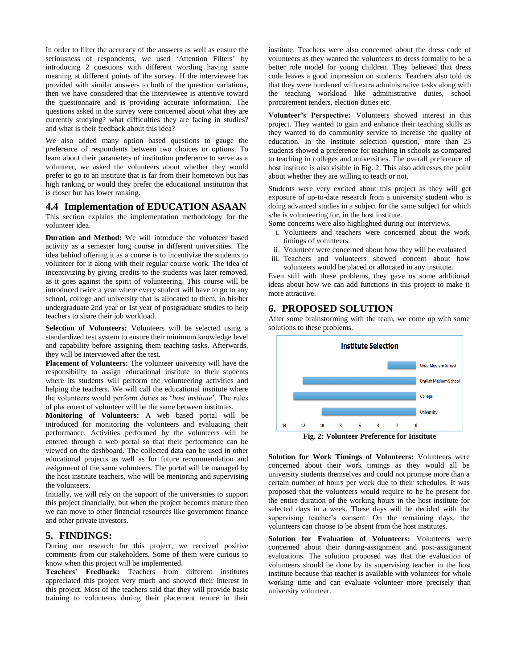In order to filter the accuracy of the answers as well as ensure the seriousness of respondents, we used 'Attention Filters' by introducing 2 questions with different wording having same meaning at different points of the survey. If the interviewee has provided with similar answers to both of the question variations, then we have considered that the interviewee is attentive toward the questionnaire and is providing accurate information. The questions asked in the survey were concerned about what they are currently studying? what difficulties they are facing in studies? and what is their feedback about this idea?

We also added many option based questions to gauge the preference of respondents between two choices or options. To learn about their parameters of institution preference to serve as a volunteer, we asked the volunteers about whether they would prefer to go to an institute that is far from their hometown but has high ranking or would they prefer the educational institution that is closer but has lower ranking.

#### **4.4 Implementation of EDUCATION ASAAN**

This section explains the implementation methodology for the volunteer idea.

**Duration and Method:** We will introduce the volunteer based activity as a semester long course in different universities. The idea behind offering it as a course is to incentivize the students to volunteer for it along with their regular course work. The idea of incentivizing by giving credits to the students was later removed, as it goes against the spirit of volunteering. This course will be introduced twice a year where every student will have to go to any school, college and university that is allocated to them, in his/her undergraduate 2nd year or 1st year of postgraduate studies to help teachers to share their job workload.

**Selection of Volunteers:** Volunteers will be selected using a standardized test system to ensure their minimum knowledge level and capability before assigning them teaching tasks. Afterwards, they will be interviewed after the test.

**Placement of Volunteers:** The volunteer university will have the responsibility to assign educational institute to their students where its students will perform the volunteering activities and helping the teachers. We will call the educational institute where the volunteers would perform duties as '*host institute*'. The rules of placement of volunteer will be the same between institutes.

**Monitoring of Volunteers:** A web based portal will be introduced for monitoring the volunteers and evaluating their performance. Activities performed by the volunteers will be entered through a web portal so that their performance can be viewed on the dashboard. The collected data can be used in other educational projects as well as for future recommendation and assignment of the same volunteers. The portal will be managed by the host institute teachers, who will be mentoring and supervising the volunteers.

Initially, we will rely on the support of the universities to support this project financially, but when the project becomes mature then we can move to other financial resources like government finance and other private investors.

## **5. FINDINGS:**

During our research for this project, we received positive comments from our stakeholders. Some of them were curious to know when this project will be implemented.

**Teachers' Feedback:** Teachers from different institutes appreciated this project very much and showed their interest in this project. Most of the teachers said that they will provide basic training to volunteers during their placement tenure in their

institute. Teachers were also concerned about the dress code of volunteers as they wanted the volunteers to dress formally to be a better role model for young children. They believed that dress code leaves a good impression on students. Teachers also told us that they were burdened with extra administrative tasks along with the teaching workload like administrative duties, school procurement tenders, election duties etc.

**Volunteer's Perspective:** Volunteers showed interest in this project. They wanted to gain and enhance their teaching skills as they wanted to do community service to increase the quality of education. In the institute selection question, more than 25 students showed a preference for teaching in schools as compared to teaching in colleges and universities. The overall preference of host institute is also visible in Fig. 2. This also addresses the point about whether they are willing to teach or not.

Students were very excited about this project as they will get exposure of up-to-date research from a university student who is doing advanced studies in a subject for the same subject for which s/he is volunteering for, in the host institute.

Some concerns were also highlighted during our interviews.

- i. Volunteers and teachers were concerned about the work timings of volunteers.
- ii. Volunteer were concerned about how they will be evaluated
- iii. Teachers and volunteers showed concern about how volunteers would be placed or allocated in any institute.

Even still with these problems, they gave us some additional ideas about how we can add functions in this project to make it more attractive.

## **6. PROPOSED SOLUTION**

After some brainstorming with the team, we come up with some solutions to these problems.



**Fig. 2: Volunteer Preference for Institute**

**Solution for Work Timings of Volunteers:** Volunteers were concerned about their work timings as they would all be university students themselves and could not promise more than a certain number of hours per week due to their schedules. It was proposed that the volunteers would require to be be present for the entire duration of the working hours in the host institute for selected days in a week. These days will be decided with the supervising teacher's consent. On the remaining days, the volunteers can choose to be absent from the host institutes.

**Solution for Evaluation of Volunteers:** Volunteers were concerned about their during-assignment and post-assignment evaluations. The solution proposed was that the evaluation of volunteers should be done by its supervising teacher in the host institute because that teacher is available with volunteer for whole working time and can evaluate volunteer more precisely than university volunteer.